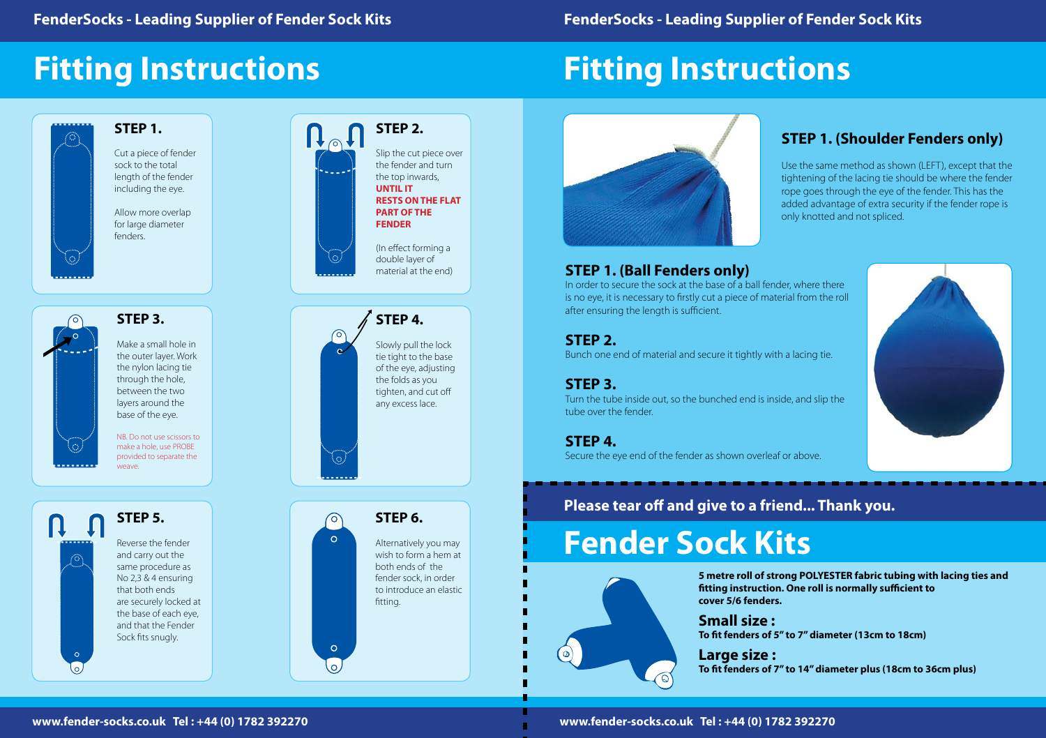### **STEP 1.**

Cut a piece of fender sock to the total length of the fender including the eye.

**STEP 2.**  $\mathsf{R}_{\circlearrowright} \mathsf{\Pi}$ Slip the cut piece over the fender and turn the top inwards, **UNTIL IT RESTS ON THE FLAT PART OF THE FENDER** (In effect forming a double layer of material at the end)  $\bullet$ 

Q

 $\circ$ 

 $\Omega$ 

 $\circ$ 

Allow more overlap for large diameter fenders.

> **STEP 4.** Slowly pull the lock tie tight to the base of the eye, adjusting the folds as you tighten, and cut off any excess lace.



lo.

#### **STEP 6.**

Alternatively you may wish to form a hem at both ends of the fender sock, in order to introduce an elastic fitting.



Make a small hole in the outer layer. Work

the nylon lacing tie through the hole, between the two layers around the base of the eye.

NB. Do not use scissors to make a hole, use PROBE provided to separate the weave.

# **Fitting Instructions**



# **Fitting Instructions**



**www.fender-socks.co.uk Tel : +44 (0) 1782 392270 www.fender-socks.co.uk Tel : +44 (0) 1782 392270**

### **STEP 1. (Ball Fenders only)**

In order to secure the sock at the base of a ball fender, where there is no eye, it is necessary to firstly cut a piece of material from the roll after ensuring the length is sufficient.

#### **STEP 2.**

Bunch one end of material and secure it tightly with a lacing tie.

**STEP 3.**

Turn the tube inside out, so the bunched end is inside, and slip the tube over the fender.

**STEP 4.**  Secure the eye end of the fender as shown overleaf or above.

### **STEP 1. (Shoulder Fenders only)**

Use the same method as shown (LEFT), except that the tightening of the lacing tie should be where the fender rope goes through the eye of the fender. This has the added advantage of extra security if the fender rope is only knotted and not spliced.



### **Please tear off and give to a friend... Thank you.**

# **Fender Sock Kits**



**5 metre roll of strong POLYESTER fabric tubing with lacing ties and fitting instruction. One roll is normally sufficient to** 

**cover 5/6 fenders.**

**Small size : To fit fenders of 5" to 7" diameter (13cm to 18cm)**

**Large size :**

**To fit fenders of 7" to 14" diameter plus (18cm to 36cm plus)**